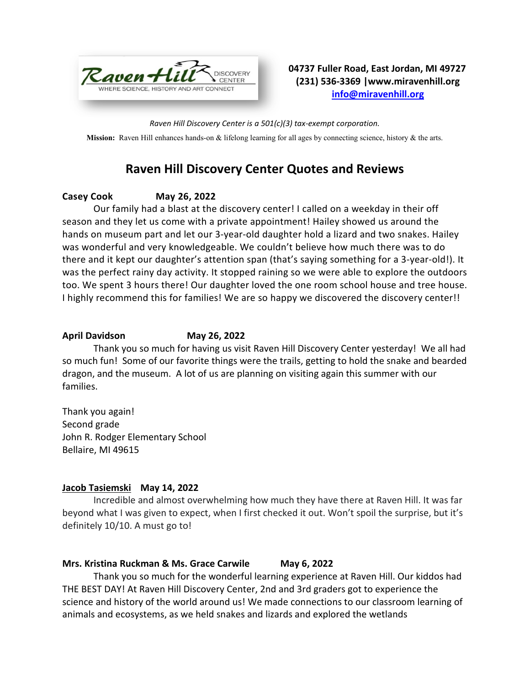

**04737 Fuller Road, East Jordan, MI 49727 (231) 536-3369 |www.miravenhill.org [info@miravenhill.org](mailto:info@miravenhill.org)**

*Raven Hill Discovery Center is a 501(c)(3) tax-exempt corporation.* **Mission:** Raven Hill enhances hands-on & lifelong learning for all ages by connecting science, history & the arts.

# **Raven Hill Discovery Center Quotes and Reviews**

# **[Casey Cook](https://www.google.com/maps/contrib/104118004676758751200/reviews) May 26, 2022**

Our family had a blast at the discovery center! I called on a weekday in their off season and they let us come with a private appointment! Hailey showed us around the hands on museum part and let our 3-year-old daughter hold a lizard and two snakes. Hailey was wonderful and very knowledgeable. We couldn't believe how much there was to do there and it kept our daughter's attention span (that's saying something for a 3-year-old!). It was the perfect rainy day activity. It stopped raining so we were able to explore the outdoors too. We spent 3 hours there! Our daughter loved the one room school house and tree house. I highly recommend this for families! We are so happy we discovered the discovery center!!

# **April Davidson May 26, 2022**

Thank you so much for having us visit Raven Hill Discovery Center yesterday! We all had so much fun! Some of our favorite things were the trails, getting to hold the snake and bearded dragon, and the museum. A lot of us are planning on visiting again this summer with our families.

Thank you again! Second grade John R. Rodger Elementary School Bellaire, MI 49615

# **[Jacob Tasiemski](https://www.google.com/maps/contrib/101612590126286988071?hl=en-US&sa=X&ved=2ahUKEwiumci3p4L4AhUDg4kEHUhXDC0QvvQBegQIARBs) May 14, 2022**

Incredible and almost overwhelming how much they have there at Raven Hill. It was far beyond what I was given to expect, when I first checked it out. Won't spoil the surprise, but it's definitely 10/10. A must go to!

# **Mrs. Kristina Ruckman & Ms. Grace Carwile May 6, 2022**

Thank you so much for the wonderful learning experience at Raven Hill. Our kiddos had THE BEST DAY! At Raven Hill Discovery Center, 2nd and 3rd graders got to experience the science and history of the world around us! We made connections to our classroom learning of animals and ecosystems, as we held snakes and lizards and explored the wetlands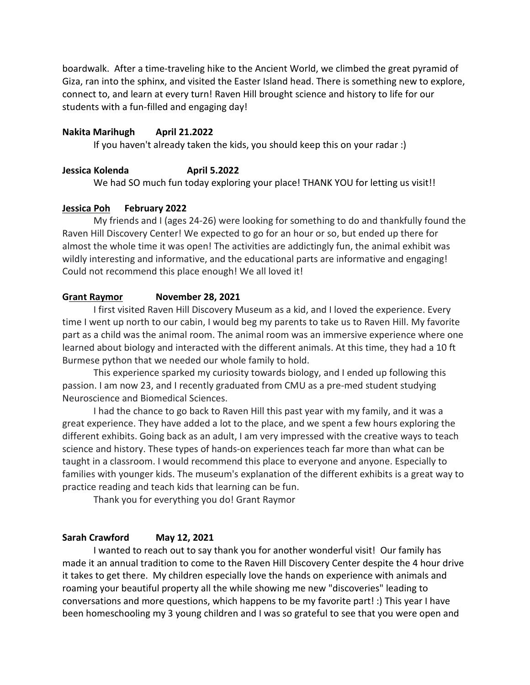boardwalk. After a time-traveling hike to the Ancient World, we climbed the great pyramid of Giza, ran into the sphinx, and visited the Easter Island head. There is something new to explore, connect to, and learn at every turn! Raven Hill brought science and history to life for our students with a fun-filled and engaging day!

#### **Nakita Marihugh April 21.2022**

If you haven't already taken the kids, you should keep this on your radar :)

## **Jessica Kolenda April 5.2022**

We had SO much fun today exploring your place! THANK YOU for letting us visit!!

#### **[Jessica Poh](https://www.google.com/maps/contrib/101355396515117627240?hl=en-US&sa=X&ved=2ahUKEwiumci3p4L4AhUDg4kEHUhXDC0QvvQBegQIARAz) February 2022**

My friends and I (ages 24-26) were looking for something to do and thankfully found the Raven Hill Discovery Center! We expected to go for an hour or so, but ended up there for almost the whole time it was open! The activities are addictingly fun, the animal exhibit was wildly interesting and informative, and the educational parts are informative and engaging! Could not recommend this place enough! We all loved it!

#### **[Grant Raymor](https://www.google.com/maps/contrib/102837328481701508683?hl=en-US&sa=X&ved=2ahUKEwiumci3p4L4AhUDg4kEHUhXDC0QvvQBegQIARB5) November 28, 2021**

I first visited Raven Hill Discovery Museum as a kid, and I loved the experience. Every time I went up north to our cabin, I would beg my parents to take us to Raven Hill. My favorite part as a child was the animal room. The animal room was an immersive experience where one learned about biology and interacted with the different animals. At this time, they had a 10 ft Burmese python that we needed our whole family to hold.

This experience sparked my curiosity towards biology, and I ended up following this passion. I am now 23, and I recently graduated from CMU as a pre-med student studying Neuroscience and Biomedical Sciences.

I had the chance to go back to Raven Hill this past year with my family, and it was a great experience. They have added a lot to the place, and we spent a few hours exploring the different exhibits. Going back as an adult, I am very impressed with the creative ways to teach science and history. These types of hands-on experiences teach far more than what can be taught in a classroom. I would recommend this place to everyone and anyone. Especially to families with younger kids. The museum's explanation of the different exhibits is a great way to practice reading and teach kids that learning can be fun.

Thank you for everything you do! Grant Raymor

## **Sarah Crawford May 12, 2021**

I wanted to reach out to say thank you for another wonderful visit! Our family has made it an annual tradition to come to the Raven Hill Discovery Center despite the 4 hour drive it takes to get there. My children especially love the hands on experience with animals and roaming your beautiful property all the while showing me new "discoveries" leading to conversations and more questions, which happens to be my favorite part! :) This year I have been homeschooling my 3 young children and I was so grateful to see that you were open and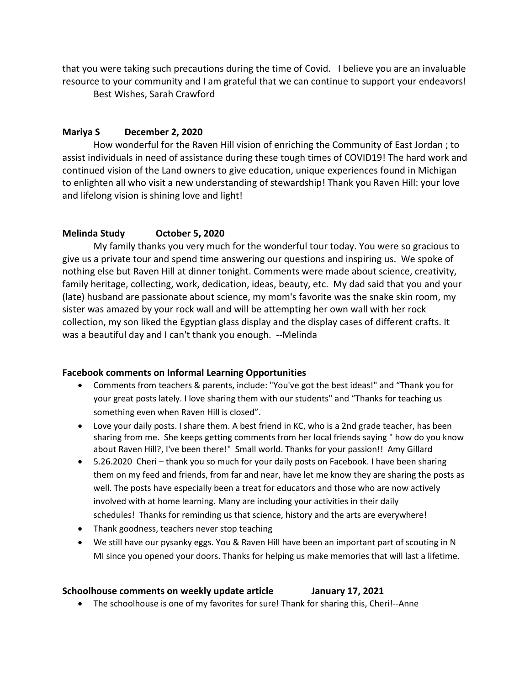that you were taking such precautions during the time of Covid. I believe you are an invaluable resource to your community and I am grateful that we can continue to support your endeavors! Best Wishes, Sarah Crawford

## **Mariya S December 2, 2020**

How wonderful for the Raven Hill vision of enriching the Community of East Jordan ; to assist individuals in need of assistance during these tough times of COVID19! The hard work and continued vision of the Land owners to give education, unique experiences found in Michigan to enlighten all who visit a new understanding of stewardship! Thank you Raven Hill: your love and lifelong vision is shining love and light!

## **Melinda Study October 5, 2020**

My family thanks you very much for the wonderful tour today. You were so gracious to give us a private tour and spend time answering our questions and inspiring us. We spoke of nothing else but Raven Hill at dinner tonight. Comments were made about science, creativity, family heritage, collecting, work, dedication, ideas, beauty, etc. My dad said that you and your (late) husband are passionate about science, my mom's favorite was the snake skin room, my sister was amazed by your rock wall and will be attempting her own wall with her rock collection, my son liked the Egyptian glass display and the display cases of different crafts. It was a beautiful day and I can't thank you enough. --Melinda

## **Facebook comments on Informal Learning Opportunities**

- Comments from teachers & parents, include: "You've got the best ideas!" and "Thank you for your great posts lately. I love sharing them with our students" and "Thanks for teaching us something even when Raven Hill is closed".
- Love your daily posts. I share them. A best friend in KC, who is a 2nd grade teacher, has been sharing from me. She keeps getting comments from her local friends saying " how do you know about Raven Hill?, I've been there!" Small world. Thanks for your passion!! Amy Gillard
- 5.26.2020 Cheri thank you so much for your daily posts on Facebook. I have been sharing them on my feed and friends, from far and near, have let me know they are sharing the posts as well. The posts have especially been a treat for educators and those who are now actively involved with at home learning. Many are including your activities in their daily schedules! Thanks for reminding us that science, history and the arts are everywhere!
- Thank goodness, teachers never stop teaching
- We still have our pysanky eggs. You & Raven Hill have been an important part of scouting in N MI since you opened your doors. Thanks for helping us make memories that will last a lifetime.

## **Schoolhouse comments on weekly update article January 17, 2021**

• The schoolhouse is one of my favorites for sure! Thank for sharing this, Cheri!--Anne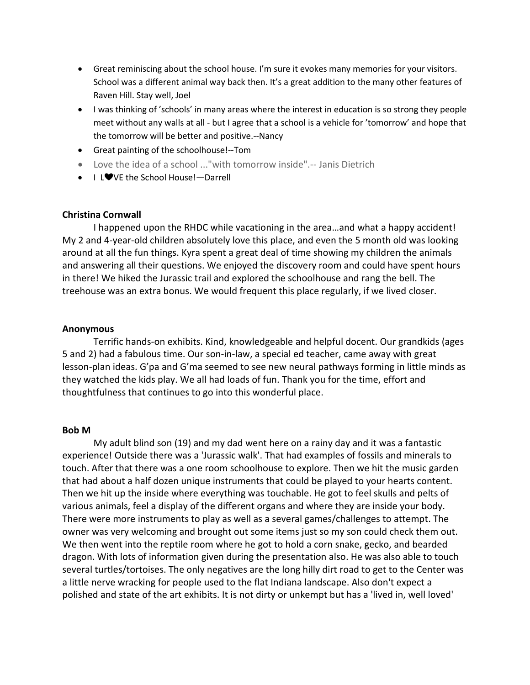- Great reminiscing about the school house. I'm sure it evokes many memories for your visitors. School was a different animal way back then. It's a great addition to the many other features of Raven Hill. Stay well, Joel
- I was thinking of 'schools' in many areas where the interest in education is so strong they people meet without any walls at all - but I agree that a school is a vehicle for 'tomorrow' and hope that the tomorrow will be better and positive.--Nancy
- Great painting of the schoolhouse!--Tom
- Love the idea of a school ..."with tomorrow inside".-- Janis Dietrich
- I L<sup>●</sup>VE the School House!—Darrell

## **Christina Cornwall**

I happened upon the RHDC while vacationing in the area…and what a happy accident! My 2 and 4-year-old children absolutely love this place, and even the 5 month old was looking around at all the fun things. Kyra spent a great deal of time showing my children the animals and answering all their questions. We enjoyed the discovery room and could have spent hours in there! We hiked the Jurassic trail and explored the schoolhouse and rang the bell. The treehouse was an extra bonus. We would frequent this place regularly, if we lived closer.

## **Anonymous**

Terrific hands-on exhibits. Kind, knowledgeable and helpful docent. Our grandkids (ages 5 and 2) had a fabulous time. Our son-in-law, a special ed teacher, came away with great lesson-plan ideas. G'pa and G'ma seemed to see new neural pathways forming in little minds as they watched the kids play. We all had loads of fun. Thank you for the time, effort and thoughtfulness that continues to go into this wonderful place.

## **Bob M**

My adult blind son (19) and my dad went here on a rainy day and it was a fantastic experience! Outside there was a 'Jurassic walk'. That had examples of fossils and minerals to touch. After that there was a one room schoolhouse to explore. Then we hit the music garden that had about a half dozen unique instruments that could be played to your hearts content. Then we hit up the inside where everything was touchable. He got to feel skulls and pelts of various animals, feel a display of the different organs and where they are inside your body. There were more instruments to play as well as a several games/challenges to attempt. The owner was very welcoming and brought out some items just so my son could check them out. We then went into the reptile room where he got to hold a corn snake, gecko, and bearded dragon. With lots of information given during the presentation also. He was also able to touch several turtles/tortoises. The only negatives are the long hilly dirt road to get to the Center was a little nerve wracking for people used to the flat Indiana landscape. Also don't expect a polished and state of the art exhibits. It is not dirty or unkempt but has a 'lived in, well loved'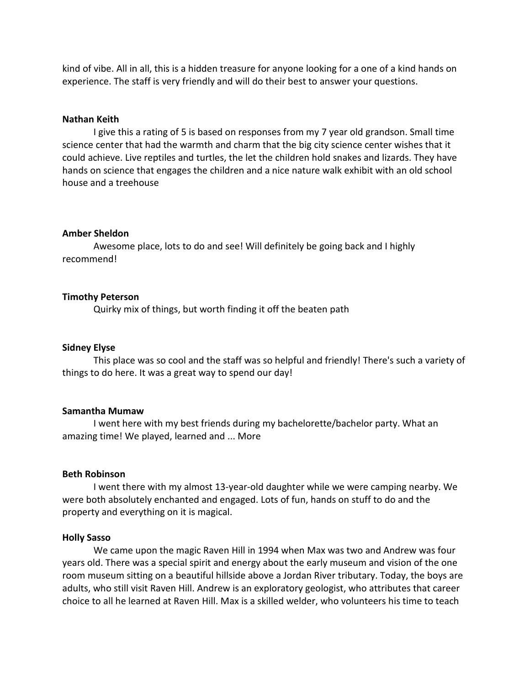kind of vibe. All in all, this is a hidden treasure for anyone looking for a one of a kind hands on experience. The staff is very friendly and will do their best to answer your questions.

#### **Nathan Keith**

I give this a rating of 5 is based on responses from my 7 year old grandson. Small time science center that had the warmth and charm that the big city science center wishes that it could achieve. Live reptiles and turtles, the let the children hold snakes and lizards. They have hands on science that engages the children and a nice nature walk exhibit with an old school house and a treehouse

## **Amber Sheldon**

Awesome place, lots to do and see! Will definitely be going back and I highly recommend!

#### **Timothy Peterson**

Quirky mix of things, but worth finding it off the beaten path

#### **Sidney Elyse**

This place was so cool and the staff was so helpful and friendly! There's such a variety of things to do here. It was a great way to spend our day!

#### **Samantha Mumaw**

I went here with my best friends during my bachelorette/bachelor party. What an amazing time! We played, learned and ... More

#### **Beth Robinson**

I went there with my almost 13-year-old daughter while we were camping nearby. We were both absolutely enchanted and engaged. Lots of fun, hands on stuff to do and the property and everything on it is magical.

#### **Holly Sasso**

We came upon the magic Raven Hill in 1994 when Max was two and Andrew was four years old. There was a special spirit and energy about the early museum and vision of the one room museum sitting on a beautiful hillside above a Jordan River tributary. Today, the boys are adults, who still visit Raven Hill. Andrew is an exploratory geologist, who attributes that career choice to all he learned at Raven Hill. Max is a skilled welder, who volunteers his time to teach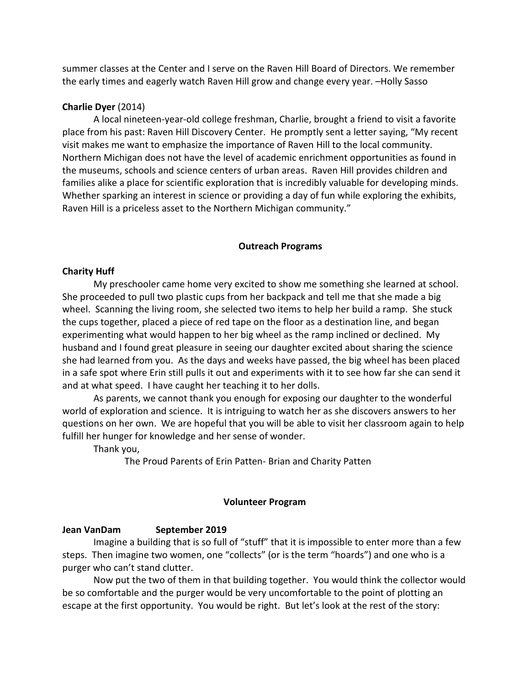summer classes at the Center and I serve on the Raven Hill Board of Directors. We remember the early times and eagerly watch Raven Hill grow and change every year. –Holly Sasso

# **Charlie Dyer** (2014)

A local nineteen-year-old college freshman, Charlie, brought a friend to visit a favorite place from his past: Raven Hill Discovery Center. He promptly sent a letter saying, "My recent visit makes me want to emphasize the importance of Raven Hill to the local community. Northern Michigan does not have the level of academic enrichment opportunities as found in the museums, schools and science centers of urban areas. Raven Hill provides children and families alike a place for scientific exploration that is incredibly valuable for developing minds. Whether sparking an interest in science or providing a day of fun while exploring the exhibits, Raven Hill is a priceless asset to the Northern Michigan community."

## **Outreach Programs**

# **Charity Huff**

My preschooler came home very excited to show me something she learned at school. She proceeded to pull two plastic cups from her backpack and tell me that she made a big wheel. Scanning the living room, she selected two items to help her build a ramp. She stuck the cups together, placed a piece of red tape on the floor as a destination line, and began experimenting what would happen to her big wheel as the ramp inclined or declined. My husband and I found great pleasure in seeing our daughter excited about sharing the science she had learned from you. As the days and weeks have passed, the big wheel has been placed in a safe spot where Erin still pulls it out and experiments with it to see how far she can send it and at what speed. I have caught her teaching it to her dolls.

As parents, we cannot thank you enough for exposing our daughter to the wonderful world of exploration and science. It is intriguing to watch her as she discovers answers to her questions on her own. We are hopeful that you will be able to visit her classroom again to help fulfill her hunger for knowledge and her sense of wonder.

Thank you,

The Proud Parents of Erin Patten- Brian and Charity Patten

## **Volunteer Program**

## **Jean VanDam September 2019**

Imagine a building that is so full of "stuff" that it is impossible to enter more than a few steps. Then imagine two women, one "collects" (or is the term "hoards") and one who is a purger who can't stand clutter.

Now put the two of them in that building together. You would think the collector would be so comfortable and the purger would be very uncomfortable to the point of plotting an escape at the first opportunity. You would be right. But let's look at the rest of the story: